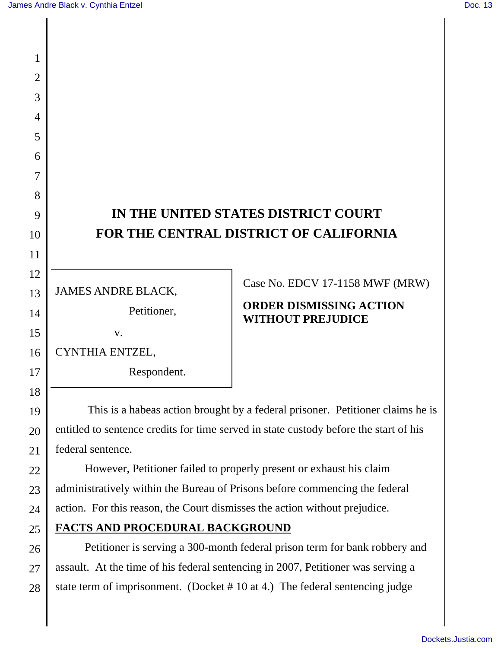1

2

3

4

5

6

7

8

9

10

11

12

13

14

15

16

17

18

19

20

21

22

23

24

25

26

27

28

# **IN THE UNITED STATES DISTRICT COURT FOR THE CENTRAL DISTRICT OF CALIFORNIA**

JAMES ANDRE BLACK,

Petitioner,

v.

CYNTHIA ENTZEL,

Respondent.

Case No. EDCV 17-1158 MWF (MRW)

## **ORDER DISMISSING ACTION WITHOUT PREJUDICE**

 This is a habeas action brought by a federal prisoner. Petitioner claims he is entitled to sentence credits for time served in state custody before the start of his federal sentence.

However, Petitioner failed to properly present or exhaust his claim administratively within the Bureau of Prisons before commencing the federal action. For this reason, the Court dismisses the action without prejudice.

**FACTS AND PROCEDURAL BACKGROUND** 

Petitioner is serving a 300-month federal prison term for bank robbery and assault. At the time of his federal sentencing in 2007, Petitioner was serving a state term of imprisonment. (Docket #10 at 4.) The federal sentencing judge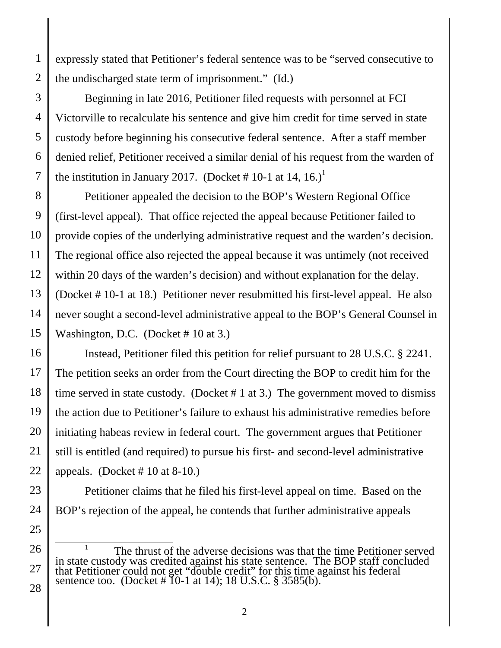expressly stated that Petitioner's federal sentence was to be "served consecutive to the undischarged state term of imprisonment." (Id.)

Beginning in late 2016, Petitioner filed requests with personnel at FCI Victorville to recalculate his sentence and give him credit for time served in state custody before beginning his consecutive federal sentence. After a staff member denied relief, Petitioner received a similar denial of his request from the warden of the institution in January 2017. (Docket # 10-1 at 14, 16.)<sup>1</sup>

Petitioner appealed the decision to the BOP's Western Regional Office (first-level appeal). That office rejected the appeal because Petitioner failed to provide copies of the underlying administrative request and the warden's decision. The regional office also rejected the appeal because it was untimely (not received within 20 days of the warden's decision) and without explanation for the delay. (Docket # 10-1 at 18.) Petitioner never resubmitted his first-level appeal. He also never sought a second-level administrative appeal to the BOP's General Counsel in Washington, D.C. (Docket # 10 at 3.)

Instead, Petitioner filed this petition for relief pursuant to 28 U.S.C. § 2241. The petition seeks an order from the Court directing the BOP to credit him for the time served in state custody. (Docket  $# 1$  at 3.) The government moved to dismiss the action due to Petitioner's failure to exhaust his administrative remedies before initiating habeas review in federal court. The government argues that Petitioner still is entitled (and required) to pursue his first- and second-level administrative appeals. (Docket  $\# 10$  at 8-10.)

Petitioner claims that he filed his first-level appeal on time. Based on the BOP's rejection of the appeal, he contends that further administrative appeals

 $\frac{1}{1}$  The thrust of the adverse decisions was that the time Petitioner served in state custody was credited against his state sentence. The BOP staff concluded that Petitioner could not get "double credit" for this time against his federal sentence too. (Docket # 10-1 at 14); 18 U.S.C. § 3585(b).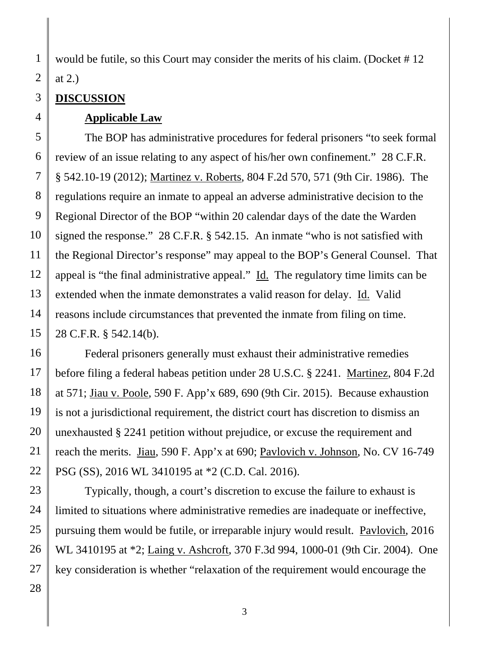would be futile, so this Court may consider the merits of his claim. (Docket #12) at 2.)

### **DISCUSSION**

1

2

3

#### **Applicable Law**

The BOP has administrative procedures for federal prisoners "to seek formal review of an issue relating to any aspect of his/her own confinement." 28 C.F.R. § 542.10-19 (2012); Martinez v. Roberts, 804 F.2d 570, 571 (9th Cir. 1986). The regulations require an inmate to appeal an adverse administrative decision to the Regional Director of the BOP "within 20 calendar days of the date the Warden signed the response." 28 C.F.R. § 542.15. An inmate "who is not satisfied with the Regional Director's response" may appeal to the BOP's General Counsel. That appeal is "the final administrative appeal." Id. The regulatory time limits can be extended when the inmate demonstrates a valid reason for delay. Id. Valid reasons include circumstances that prevented the inmate from filing on time. 28 C.F.R. § 542.14(b).

Federal prisoners generally must exhaust their administrative remedies before filing a federal habeas petition under 28 U.S.C. § 2241. Martinez, 804 F.2d at 571; Jiau v. Poole, 590 F. App'x 689, 690 (9th Cir. 2015). Because exhaustion is not a jurisdictional requirement, the district court has discretion to dismiss an unexhausted § 2241 petition without prejudice, or excuse the requirement and reach the merits. Jiau, 590 F. App'x at 690; Pavlovich v. Johnson, No. CV 16-749 PSG (SS), 2016 WL 3410195 at \*2 (C.D. Cal. 2016).

Typically, though, a court's discretion to excuse the failure to exhaust is limited to situations where administrative remedies are inadequate or ineffective, pursuing them would be futile, or irreparable injury would result. Pavlovich, 2016 WL 3410195 at \*2; Laing v. Ashcroft, 370 F.3d 994, 1000-01 (9th Cir. 2004). One key consideration is whether "relaxation of the requirement would encourage the

3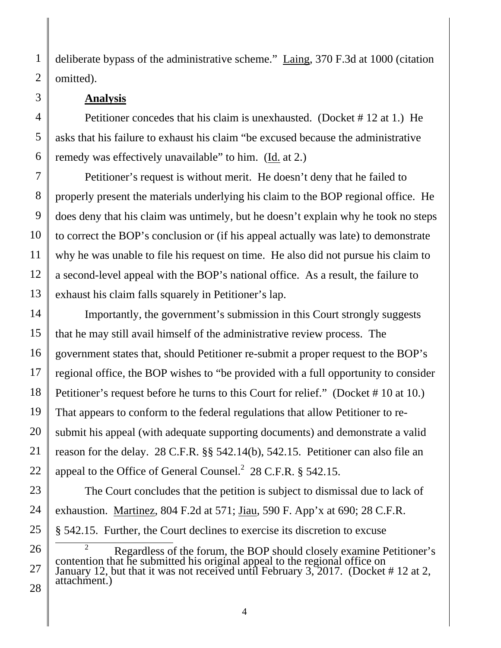deliberate bypass of the administrative scheme." Laing, 370 F.3d at 1000 (citation omitted).

#### **Analysis**

Petitioner concedes that his claim is unexhausted. (Docket # 12 at 1.) He asks that his failure to exhaust his claim "be excused because the administrative remedy was effectively unavailable" to him. (Id. at 2.)

Petitioner's request is without merit. He doesn't deny that he failed to properly present the materials underlying his claim to the BOP regional office. He does deny that his claim was untimely, but he doesn't explain why he took no steps to correct the BOP's conclusion or (if his appeal actually was late) to demonstrate why he was unable to file his request on time. He also did not pursue his claim to a second-level appeal with the BOP's national office. As a result, the failure to exhaust his claim falls squarely in Petitioner's lap.

Importantly, the government's submission in this Court strongly suggests that he may still avail himself of the administrative review process. The government states that, should Petitioner re-submit a proper request to the BOP's regional office, the BOP wishes to "be provided with a full opportunity to consider Petitioner's request before he turns to this Court for relief." (Docket # 10 at 10.) That appears to conform to the federal regulations that allow Petitioner to resubmit his appeal (with adequate supporting documents) and demonstrate a valid reason for the delay. 28 C.F.R. §§ 542.14(b), 542.15. Petitioner can also file an appeal to the Office of General Counsel. $2$  28 C.F.R. § 542.15.

The Court concludes that the petition is subject to dismissal due to lack of exhaustion. Martinez, 804 F.2d at 571; Jiau, 590 F. App'x at 690; 28 C.F.R. § 542.15. Further, the Court declines to exercise its discretion to excuse

<sup>&</sup>lt;sup>2</sup> Regardless of the forum, the BOP should closely examine Petitioner's contention that he submitted his original appeal to the regional office on January 12, but that it was not received until February 3, 2017. (Docket # 12 at 2, attachment.)